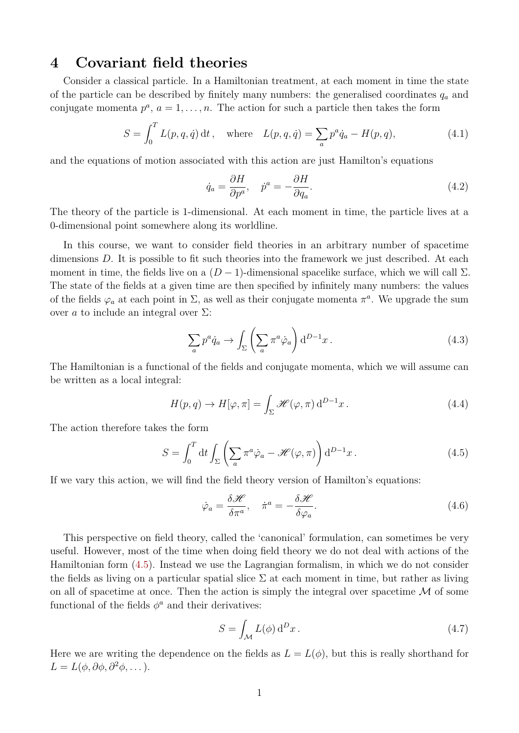# **4 Covariant field theories**

Consider a classical particle. In a Hamiltonian treatment, at each moment in time the state of the particle can be described by finitely many numbers: the generalised coordinates *q<sup>a</sup>* and conjugate momenta  $p^a$ ,  $a = 1, \ldots, n$ . The action for such a particle then takes the form

$$
S = \int_0^T L(p, q, \dot{q}) dt, \text{ where } L(p, q, \dot{q}) = \sum_a p^a \dot{q}_a - H(p, q), \qquad (4.1)
$$

and the equations of motion associated with this action are just Hamilton's equations

$$
\dot{q}_a = \frac{\partial H}{\partial p^a}, \quad \dot{p}^a = -\frac{\partial H}{\partial q_a}.
$$
\n(4.2)

The theory of the particle is 1-dimensional. At each moment in time, the particle lives at a 0-dimensional point somewhere along its worldline.

In this course, we want to consider field theories in an arbitrary number of spacetime dimensions D. It is possible to fit such theories into the framework we just described. At each moment in time, the fields live on a  $(D-1)$ -dimensional spacelike surface, which we will call  $\Sigma$ . The state of the fields at a given time are then specified by infinitely many numbers: the values of the fields  $\varphi_a$  at each point in  $\Sigma$ , as well as their conjugate momenta  $\pi^a$ . We upgrade the sum over *a* to include an integral over  $\Sigma$ :

$$
\sum_{a} p^{a} \dot{q}_{a} \rightarrow \int_{\Sigma} \left( \sum_{a} \pi^{a} \dot{\varphi}_{a} \right) d^{D-1} x . \tag{4.3}
$$

The Hamiltonian is a functional of the fields and conjugate momenta, which we will assume can be written as a local integral:

$$
H(p,q) \to H[\varphi,\pi] = \int_{\Sigma} \mathcal{H}(\varphi,\pi) d^{D-1}x.
$$
 (4.4)

The action therefore takes the form

<span id="page-0-0"></span>
$$
S = \int_0^T dt \int_{\Sigma} \left( \sum_a \pi^a \dot{\varphi}_a - \mathcal{H}(\varphi, \pi) \right) d^{D-1}x.
$$
 (4.5)

If we vary this action, we will find the field theory version of Hamilton's equations:

$$
\dot{\varphi}_a = \frac{\delta \mathcal{H}}{\delta \pi^a}, \quad \dot{\pi}^a = -\frac{\delta \mathcal{H}}{\delta \varphi_a}.
$$
\n(4.6)

This perspective on field theory, called the 'canonical' formulation, can sometimes be very useful. However, most of the time when doing field theory we do not deal with actions of the Hamiltonian form [\(4.5\)](#page-0-0). Instead we use the Lagrangian formalism, in which we do not consider the fields as living on a particular spatial slice  $\Sigma$  at each moment in time, but rather as living on all of spacetime at once. Then the action is simply the integral over spacetime  $\mathcal M$  of some functional of the fields  $\phi^a$  and their derivatives:

$$
S = \int_{\mathcal{M}} L(\phi) d^D x. \tag{4.7}
$$

Here we are writing the dependence on the fields as  $L = L(\phi)$ , but this is really shorthand for  $L = L(\phi, \partial \phi, \partial^2 \phi, \dots).$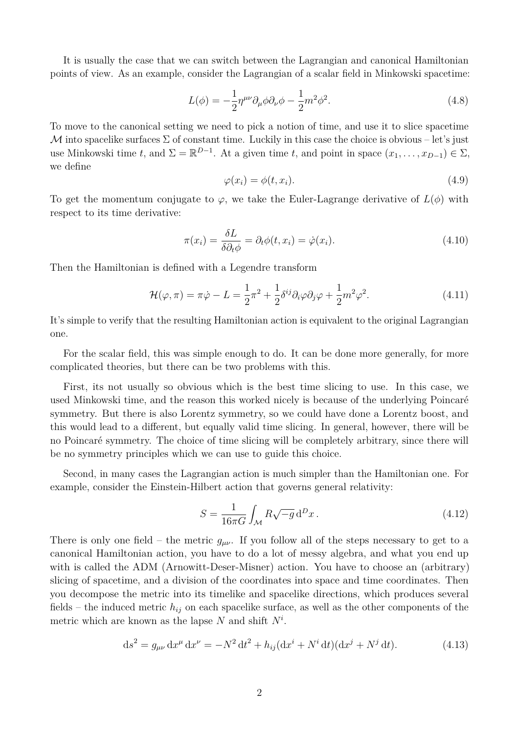It is usually the case that we can switch between the Lagrangian and canonical Hamiltonian points of view. As an example, consider the Lagrangian of a scalar field in Minkowski spacetime:

$$
L(\phi) = -\frac{1}{2}\eta^{\mu\nu}\partial_{\mu}\phi\partial_{\nu}\phi - \frac{1}{2}m^2\phi^2.
$$
 (4.8)

To move to the canonical setting we need to pick a notion of time, and use it to slice spacetime M into spacelike surfaces  $\Sigma$  of constant time. Luckily in this case the choice is obvious – let's just use Minkowski time *t*, and  $\Sigma = \mathbb{R}^{D-1}$ . At a given time *t*, and point in space  $(x_1, \ldots, x_{D-1}) \in \Sigma$ , we define

$$
\varphi(x_i) = \phi(t, x_i). \tag{4.9}
$$

To get the momentum conjugate to  $\varphi$ , we take the Euler-Lagrange derivative of  $L(\phi)$  with respect to its time derivative:

$$
\pi(x_i) = \frac{\delta L}{\delta \partial_t \phi} = \partial_t \phi(t, x_i) = \dot{\varphi}(x_i). \tag{4.10}
$$

Then the Hamiltonian is defined with a Legendre transform

$$
\mathcal{H}(\varphi,\pi) = \pi \dot{\varphi} - L = \frac{1}{2}\pi^2 + \frac{1}{2}\delta^{ij}\partial_i\varphi\partial_j\varphi + \frac{1}{2}m^2\varphi^2.
$$
 (4.11)

It's simple to verify that the resulting Hamiltonian action is equivalent to the original Lagrangian one.

For the scalar field, this was simple enough to do. It can be done more generally, for more complicated theories, but there can be two problems with this.

First, its not usually so obvious which is the best time slicing to use. In this case, we used Minkowski time, and the reason this worked nicely is because of the underlying Poincaré symmetry. But there is also Lorentz symmetry, so we could have done a Lorentz boost, and this would lead to a different, but equally valid time slicing. In general, however, there will be no Poincaré symmetry. The choice of time slicing will be completely arbitrary, since there will be no symmetry principles which we can use to guide this choice.

Second, in many cases the Lagrangian action is much simpler than the Hamiltonian one. For example, consider the Einstein-Hilbert action that governs general relativity:

<span id="page-1-0"></span>
$$
S = \frac{1}{16\pi G} \int_{\mathcal{M}} R\sqrt{-g} \, \mathrm{d}^D x \,. \tag{4.12}
$$

There is only one field – the metric  $g_{\mu\nu}$ . If you follow all of the steps necessary to get to a canonical Hamiltonian action, you have to do a lot of messy algebra, and what you end up with is called the ADM (Arnowitt-Deser-Misner) action. You have to choose an (arbitrary) slicing of spacetime, and a division of the coordinates into space and time coordinates. Then you decompose the metric into its timelike and spacelike directions, which produces several fields – the induced metric  $h_{ij}$  on each spacelike surface, as well as the other components of the metric which are known as the lapse *N* and shift *N<sup>i</sup>* .

$$
ds^{2} = g_{\mu\nu} dx^{\mu} dx^{\nu} = -N^{2} dt^{2} + h_{ij} (dx^{i} + N^{i} dt)(dx^{j} + N^{j} dt).
$$
 (4.13)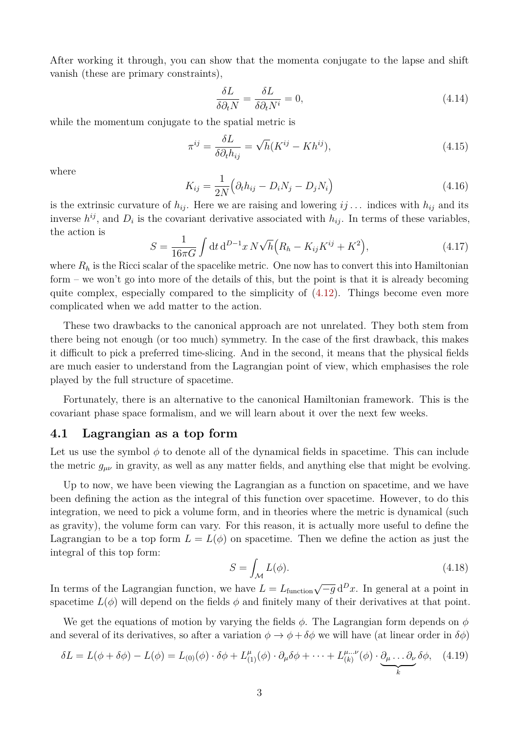After working it through, you can show that the momenta conjugate to the lapse and shift vanish (these are primary constraints),

$$
\frac{\delta L}{\delta \partial_t N} = \frac{\delta L}{\delta \partial_t N^i} = 0,\tag{4.14}
$$

while the momentum conjugate to the spatial metric is

$$
\pi^{ij} = \frac{\delta L}{\delta \partial_t h_{ij}} = \sqrt{h} (K^{ij} - Kh^{ij}), \qquad (4.15)
$$

where

$$
K_{ij} = \frac{1}{2N} \left( \partial_t h_{ij} - D_i N_j - D_j N_i \right) \tag{4.16}
$$

is the extrinsic curvature of  $h_{ij}$ . Here we are raising and lowering  $ij...$  indices with  $h_{ij}$  and its inverse  $h^{ij}$ , and  $D_i$  is the covariant derivative associated with  $h_{ij}$ . In terms of these variables, the action is

$$
S = \frac{1}{16\pi G} \int dt \, d^{D-1}x \, N \sqrt{h} \Big( R_h - K_{ij} K^{ij} + K^2 \Big), \tag{4.17}
$$

where  $R_h$  is the Ricci scalar of the spacelike metric. One now has to convert this into Hamiltonian form – we won't go into more of the details of this, but the point is that it is already becoming quite complex, especially compared to the simplicity of  $(4.12)$ . Things become even more complicated when we add matter to the action.

These two drawbacks to the canonical approach are not unrelated. They both stem from there being not enough (or too much) symmetry. In the case of the first drawback, this makes it difficult to pick a preferred time-slicing. And in the second, it means that the physical fields are much easier to understand from the Lagrangian point of view, which emphasises the role played by the full structure of spacetime.

Fortunately, there is an alternative to the canonical Hamiltonian framework. This is the covariant phase space formalism, and we will learn about it over the next few weeks.

### **4.1 Lagrangian as a top form**

Let us use the symbol  $\phi$  to denote all of the dynamical fields in spacetime. This can include the metric  $g_{\mu\nu}$  in gravity, as well as any matter fields, and anything else that might be evolving.

Up to now, we have been viewing the Lagrangian as a function on spacetime, and we have been defining the action as the integral of this function over spacetime. However, to do this integration, we need to pick a volume form, and in theories where the metric is dynamical (such as gravity), the volume form can vary. For this reason, it is actually more useful to define the Lagrangian to be a top form  $L = L(\phi)$  on spacetime. Then we define the action as just the integral of this top form:

$$
S = \int_{\mathcal{M}} L(\phi). \tag{4.18}
$$

In terms of the Lagrangian function, we have  $L = L_{\text{function}} \sqrt{-g} d^D x$ . In general at a point in spacetime  $L(\phi)$  will depend on the fields  $\phi$  and finitely many of their derivatives at that point.

We get the equations of motion by varying the fields *φ*. The Lagrangian form depends on *φ* and several of its derivatives, so after a variation  $\phi \to \phi + \delta \phi$  we will have (at linear order in  $\delta \phi$ )

<span id="page-2-0"></span>
$$
\delta L = L(\phi + \delta\phi) - L(\phi) = L_{(0)}(\phi) \cdot \delta\phi + L_{(1)}^{\mu}(\phi) \cdot \partial_{\mu}\delta\phi + \dots + L_{(k)}^{\mu\dots\nu}(\phi) \cdot \underbrace{\partial_{\mu}\dots\partial_{\nu}}_{k}\delta\phi, \quad (4.19)
$$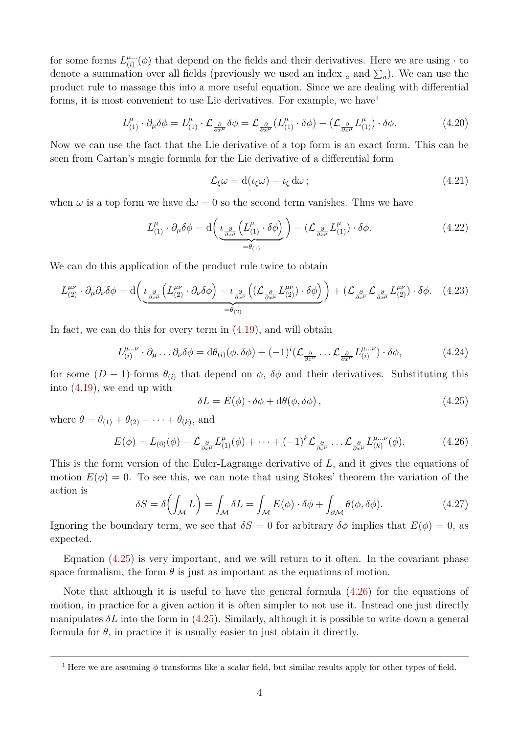for some forms  $L^{\mu...}_{(i)}$  $\binom{\mu...}{i}$  (*φ*) that depend on the fields and their derivatives. Here we are using  $\cdot$  to denote a summation over all fields (previously we used an index <sub>a</sub> and  $\Sigma_a$ ). We can use the product rule to massage this into a more useful equation. Since we are dealing with differential forms, it is most convenient to use Lie derivatives. For example, we have

$$
L_{(1)}^{\mu} \cdot \partial_{\mu}\delta\phi = L_{(1)}^{\mu} \cdot \mathcal{L}_{\frac{\partial}{\partial x^{\mu}}} \delta\phi = \mathcal{L}_{\frac{\partial}{\partial x^{\mu}}} (L_{(1)}^{\mu} \cdot \delta\phi) - (\mathcal{L}_{\frac{\partial}{\partial x^{\mu}}} L_{(1)}^{\mu}) \cdot \delta\phi.
$$
 (4.20)

Now we can use the fact that the Lie derivative of a top form is an exact form. This can be seen from Cartan's magic formula for the Lie derivative of a differential form

$$
\mathcal{L}_{\xi}\omega = d(\iota_{\xi}\omega) - \iota_{\xi} d\omega \tag{4.21}
$$

when  $\omega$  is a top form we have  $d\omega = 0$  so the second term vanishes. Thus we have

$$
L_{(1)}^{\mu} \cdot \partial_{\mu} \delta \phi = d \left( \underbrace{\iota_{\frac{\partial}{\partial x^{\mu}}} \left( L_{(1)}^{\mu} \cdot \delta \phi \right)}_{= \theta_{(1)}} \right) - \left( \mathcal{L}_{\frac{\partial}{\partial x^{\mu}}} L_{(1)}^{\mu} \right) \cdot \delta \phi.
$$
 (4.22)

We can do this application of the product rule twice to obtain

$$
L_{(2)}^{\mu\nu} \cdot \partial_{\mu}\partial_{\nu}\delta\phi = d\left(\underbrace{\iota_{\frac{\partial}{\partial x^{\mu}}} \left( L_{(2)}^{\mu\nu} \cdot \partial_{\nu}\delta\phi \right) - \iota_{\frac{\partial}{\partial x^{\nu}}} \left( \left( \mathcal{L}_{\frac{\partial}{\partial x^{\mu}}} L_{(2)}^{\mu\nu} \right) \cdot \delta\phi \right)}_{=\theta_{(2)}} + \left( \mathcal{L}_{\frac{\partial}{\partial x^{\nu}}} \mathcal{L}_{\frac{\partial}{\partial x^{\mu}}} L_{(2)}^{\mu\nu} \right) \cdot \delta\phi. \tag{4.23}
$$

In fact, we can do this for every term in [\(4.19\)](#page-2-0), and will obtain

$$
L_{(i)}^{\mu\dots\nu} \cdot \partial_{\mu} \dots \partial_{\nu}\delta\phi = d\theta_{(i)}(\phi, \delta\phi) + (-1)^i (\mathcal{L}_{\frac{\partial}{\partial x^{\nu}}} \dots \mathcal{L}_{\frac{\partial}{\partial x^{\mu}}} L_{(i)}^{\mu\dots\nu}) \cdot \delta\phi,
$$
(4.24)

for some  $(D-1)$ -forms  $\theta_{(i)}$  that depend on  $\phi$ ,  $\delta\phi$  and their derivatives. Substituting this into [\(4.19\)](#page-2-0), we end up with

<span id="page-3-1"></span>
$$
\delta L = E(\phi) \cdot \delta \phi + d\theta(\phi, \delta \phi), \qquad (4.25)
$$

where  $\theta = \theta_{(1)} + \theta_{(2)} + \cdots + \theta_{(k)}$ , and

<span id="page-3-2"></span>
$$
E(\phi) = L_{(0)}(\phi) - \mathcal{L}_{\frac{\partial}{\partial x^{\mu}}} L_{(1)}^{\mu}(\phi) + \dots + (-1)^{k} \mathcal{L}_{\frac{\partial}{\partial x^{\nu}}} \dots \mathcal{L}_{\frac{\partial}{\partial x^{\mu}}} L_{(k)}^{\mu}(\phi).
$$
(4.26)

This is the form version of the Euler-Lagrange derivative of *L*, and it gives the equations of motion  $E(\phi) = 0$ . To see this, we can note that using Stokes' theorem the variation of the action is

<span id="page-3-3"></span>
$$
\delta S = \delta \left( \int_{\mathcal{M}} L \right) = \int_{\mathcal{M}} \delta L = \int_{\mathcal{M}} E(\phi) \cdot \delta \phi + \int_{\partial \mathcal{M}} \theta(\phi, \delta \phi). \tag{4.27}
$$

Ignoring the boundary term, we see that  $\delta S = 0$  for arbitrary  $\delta \phi$  implies that  $E(\phi) = 0$ , as expected.

Equation [\(4.25\)](#page-3-1) is very important, and we will return to it often. In the covariant phase space formalism, the form  $\theta$  is just as important as the equations of motion.

Note that although it is useful to have the general formula [\(4.26\)](#page-3-2) for the equations of motion, in practice for a given action it is often simpler to not use it. Instead one just directly manipulates  $\delta L$  into the form in [\(4.25\)](#page-3-1). Similarly, although it is possible to write down a general formula for  $\theta$ , in practice it is usually easier to just obtain it directly.

<span id="page-3-0"></span><sup>&</sup>lt;sup>1</sup> Here we are assuming  $\phi$  transforms like a scalar field, but similar results apply for other types of field.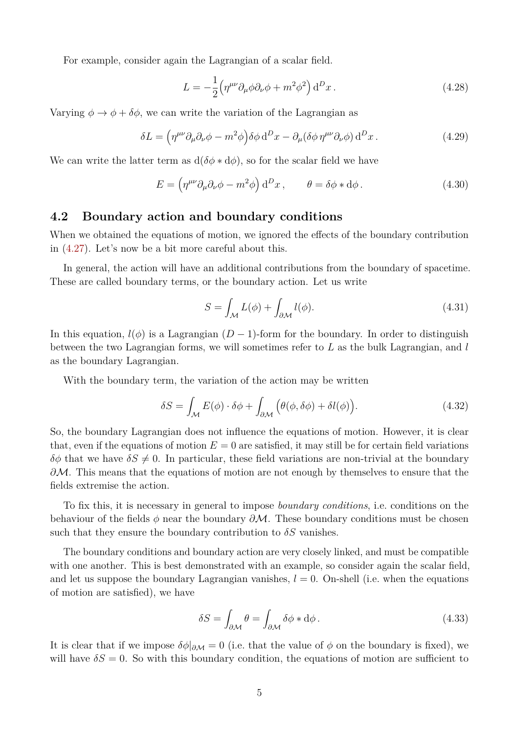For example, consider again the Lagrangian of a scalar field.

$$
L = -\frac{1}{2} \left( \eta^{\mu\nu} \partial_{\mu}\phi \partial_{\nu}\phi + m^2 \phi^2 \right) d^D x \,. \tag{4.28}
$$

Varying  $\phi \rightarrow \phi + \delta \phi$ , we can write the variation of the Lagrangian as

$$
\delta L = \left(\eta^{\mu\nu}\partial_{\mu}\partial_{\nu}\phi - m^2\phi\right)\delta\phi \,d^D x - \partial_{\mu}(\delta\phi \,\eta^{\mu\nu}\partial_{\nu}\phi) \,d^D x \,. \tag{4.29}
$$

We can write the latter term as  $d(\delta \phi * d\phi)$ , so for the scalar field we have

$$
E = \left(\eta^{\mu\nu}\partial_{\mu}\partial_{\nu}\phi - m^2\phi\right) d^D x, \qquad \theta = \delta\phi * d\phi. \tag{4.30}
$$

### **4.2 Boundary action and boundary conditions**

When we obtained the equations of motion, we ignored the effects of the boundary contribution in [\(4.27\)](#page-3-3). Let's now be a bit more careful about this.

In general, the action will have an additional contributions from the boundary of spacetime. These are called boundary terms, or the boundary action. Let us write

$$
S = \int_{\mathcal{M}} L(\phi) + \int_{\partial \mathcal{M}} l(\phi). \tag{4.31}
$$

In this equation,  $l(\phi)$  is a Lagrangian  $(D-1)$ -form for the boundary. In order to distinguish between the two Lagrangian forms, we will sometimes refer to *L* as the bulk Lagrangian, and *l* as the boundary Lagrangian.

With the boundary term, the variation of the action may be written

$$
\delta S = \int_{\mathcal{M}} E(\phi) \cdot \delta \phi + \int_{\partial \mathcal{M}} \left( \theta(\phi, \delta \phi) + \delta l(\phi) \right). \tag{4.32}
$$

So, the boundary Lagrangian does not influence the equations of motion. However, it is clear that, even if the equations of motion  $E = 0$  are satisfied, it may still be for certain field variations  $\delta\phi$  that we have  $\delta S \neq 0$ . In particular, these field variations are non-trivial at the boundary *∂M*. This means that the equations of motion are not enough by themselves to ensure that the fields extremise the action.

To fix this, it is necessary in general to impose *boundary conditions*, i.e. conditions on the behaviour of the fields *φ* near the boundary *∂*M. These boundary conditions must be chosen such that they ensure the boundary contribution to  $\delta S$  vanishes.

The boundary conditions and boundary action are very closely linked, and must be compatible with one another. This is best demonstrated with an example, so consider again the scalar field, and let us suppose the boundary Lagrangian vanishes,  $l = 0$ . On-shell (i.e. when the equations of motion are satisfied), we have

$$
\delta S = \int_{\partial \mathcal{M}} \theta = \int_{\partial \mathcal{M}} \delta \phi * d\phi. \tag{4.33}
$$

It is clear that if we impose  $\delta \phi|_{\partial M} = 0$  (i.e. that the value of  $\phi$  on the boundary is fixed), we will have  $\delta S = 0$ . So with this boundary condition, the equations of motion are sufficient to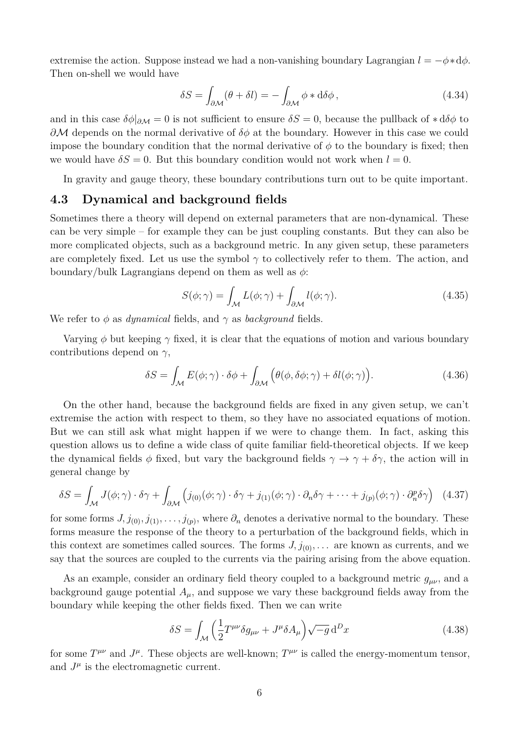extremise the action. Suppose instead we had a non-vanishing boundary Lagrangian  $l = -\phi * d\phi$ . Then on-shell we would have

$$
\delta S = \int_{\partial M} (\theta + \delta l) = - \int_{\partial M} \phi * d\delta \phi, \qquad (4.34)
$$

and in this case  $\delta\phi|_{\partial M} = 0$  is not sufficient to ensure  $\delta S = 0$ , because the pullback of  $\ast d\delta\phi$  to *∂*M depends on the normal derivative of *δφ* at the boundary. However in this case we could impose the boundary condition that the normal derivative of  $\phi$  to the boundary is fixed; then we would have  $\delta S = 0$ . But this boundary condition would not work when  $l = 0$ .

In gravity and gauge theory, these boundary contributions turn out to be quite important.

## **4.3 Dynamical and background fields**

Sometimes there a theory will depend on external parameters that are non-dynamical. These can be very simple – for example they can be just coupling constants. But they can also be more complicated objects, such as a background metric. In any given setup, these parameters are completely fixed. Let us use the symbol  $\gamma$  to collectively refer to them. The action, and boundary/bulk Lagrangians depend on them as well as *φ*:

$$
S(\phi; \gamma) = \int_{\mathcal{M}} L(\phi; \gamma) + \int_{\partial \mathcal{M}} l(\phi; \gamma). \tag{4.35}
$$

We refer to *φ* as *dynamical* fields, and *γ* as *background* fields.

Varying  $\phi$  but keeping  $\gamma$  fixed, it is clear that the equations of motion and various boundary contributions depend on *γ*,

$$
\delta S = \int_{\mathcal{M}} E(\phi; \gamma) \cdot \delta \phi + \int_{\partial \mathcal{M}} \left( \theta(\phi, \delta \phi; \gamma) + \delta l(\phi; \gamma) \right). \tag{4.36}
$$

On the other hand, because the background fields are fixed in any given setup, we can't extremise the action with respect to them, so they have no associated equations of motion. But we can still ask what might happen if we were to change them. In fact, asking this question allows us to define a wide class of quite familiar field-theoretical objects. If we keep the dynamical fields  $\phi$  fixed, but vary the background fields  $\gamma \to \gamma + \delta \gamma$ , the action will in general change by

<span id="page-5-0"></span>
$$
\delta S = \int_{\mathcal{M}} J(\phi; \gamma) \cdot \delta \gamma + \int_{\partial \mathcal{M}} \left( j_{(0)}(\phi; \gamma) \cdot \delta \gamma + j_{(1)}(\phi; \gamma) \cdot \partial_n \delta \gamma + \dots + j_{(p)}(\phi; \gamma) \cdot \partial_n^p \delta \gamma \right) \tag{4.37}
$$

for some forms  $J, j_{(0)}, j_{(1)}, \ldots, j_{(p)}$ , where  $\partial_n$  denotes a derivative normal to the boundary. These forms measure the response of the theory to a perturbation of the background fields, which in this context are sometimes called sources. The forms  $J, j_{(0)}, \ldots$  are known as currents, and we say that the sources are coupled to the currents via the pairing arising from the above equation.

As an example, consider an ordinary field theory coupled to a background metric  $g_{\mu\nu}$ , and a background gauge potential  $A_\mu$ , and suppose we vary these background fields away from the boundary while keeping the other fields fixed. Then we can write

$$
\delta S = \int_{\mathcal{M}} \left( \frac{1}{2} T^{\mu \nu} \delta g_{\mu \nu} + J^{\mu} \delta A_{\mu} \right) \sqrt{-g} \, \mathrm{d}^D x \tag{4.38}
$$

for some  $T^{\mu\nu}$  and  $J^{\mu}$ . These objects are well-known;  $T^{\mu\nu}$  is called the energy-momentum tensor, and  $J^{\mu}$  is the electromagnetic current.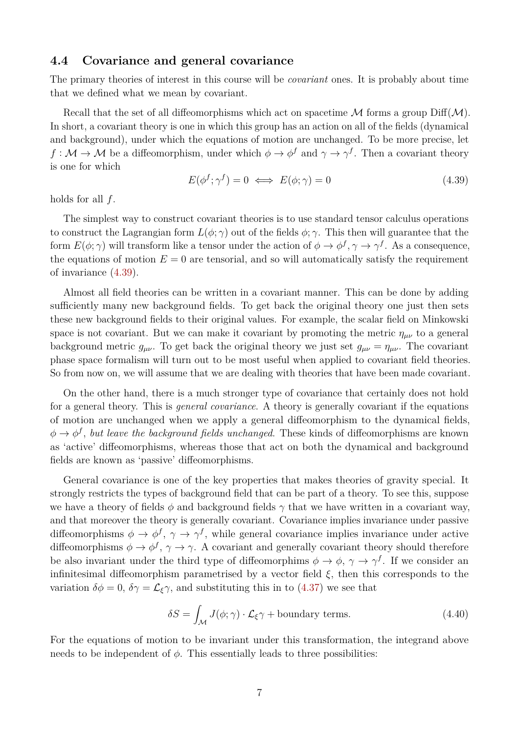### **4.4 Covariance and general covariance**

The primary theories of interest in this course will be *covariant* ones. It is probably about time that we defined what we mean by covariant.

Recall that the set of all diffeomorphisms which act on spacetime  $\mathcal M$  forms a group Diff $(\mathcal M)$ . In short, a covariant theory is one in which this group has an action on all of the fields (dynamical and background), under which the equations of motion are unchanged. To be more precise, let  $f: \mathcal{M} \to \mathcal{M}$  be a diffeomorphism, under which  $\phi \to \phi^f$  and  $\gamma \to \gamma^f$ . Then a covariant theory is one for which

<span id="page-6-0"></span>
$$
E(\phi^f; \gamma^f) = 0 \iff E(\phi; \gamma) = 0 \tag{4.39}
$$

holds for all *f*.

The simplest way to construct covariant theories is to use standard tensor calculus operations to construct the Lagrangian form  $L(\phi; \gamma)$  out of the fields  $\phi; \gamma$ . This then will guarantee that the form  $E(\phi; \gamma)$  will transform like a tensor under the action of  $\phi \to \phi^f, \gamma \to \gamma^f$ . As a consequence, the equations of motion  $E = 0$  are tensorial, and so will automatically satisfy the requirement of invariance [\(4.39\)](#page-6-0).

Almost all field theories can be written in a covariant manner. This can be done by adding sufficiently many new background fields. To get back the original theory one just then sets these new background fields to their original values. For example, the scalar field on Minkowski space is not covariant. But we can make it covariant by promoting the metric  $\eta_{\mu\nu}$  to a general background metric  $g_{\mu\nu}$ . To get back the original theory we just set  $g_{\mu\nu} = \eta_{\mu\nu}$ . The covariant phase space formalism will turn out to be most useful when applied to covariant field theories. So from now on, we will assume that we are dealing with theories that have been made covariant.

On the other hand, there is a much stronger type of covariance that certainly does not hold for a general theory. This is *general covariance*. A theory is generally covariant if the equations of motion are unchanged when we apply a general diffeomorphism to the dynamical fields,  $\phi \to \phi^f$ , *but leave the background fields unchanged*. These kinds of diffeomorphisms are known as 'active' diffeomorphisms, whereas those that act on both the dynamical and background fields are known as 'passive' diffeomorphisms.

General covariance is one of the key properties that makes theories of gravity special. It strongly restricts the types of background field that can be part of a theory. To see this, suppose we have a theory of fields  $\phi$  and background fields  $\gamma$  that we have written in a covariant way, and that moreover the theory is generally covariant. Covariance implies invariance under passive diffeomorphisms  $\phi \to \phi^f$ ,  $\gamma \to \gamma^f$ , while general covariance implies invariance under active diffeomorphisms  $\phi \to \phi^f$ ,  $\gamma \to \gamma$ . A covariant and generally covariant theory should therefore be also invariant under the third type of diffeomorphims  $\phi \to \phi$ ,  $\gamma \to \gamma^f$ . If we consider an infinitesimal diffeomorphism parametrised by a vector field *ξ*, then this corresponds to the variation  $\delta\phi = 0$ ,  $\delta\gamma = \mathcal{L}_{\xi}\gamma$ , and substituting this in to [\(4.37\)](#page-5-0) we see that

$$
\delta S = \int_{\mathcal{M}} J(\phi; \gamma) \cdot \mathcal{L}_{\xi} \gamma + \text{boundary terms.} \tag{4.40}
$$

For the equations of motion to be invariant under this transformation, the integrand above needs to be independent of  $\phi$ . This essentially leads to three possibilities: